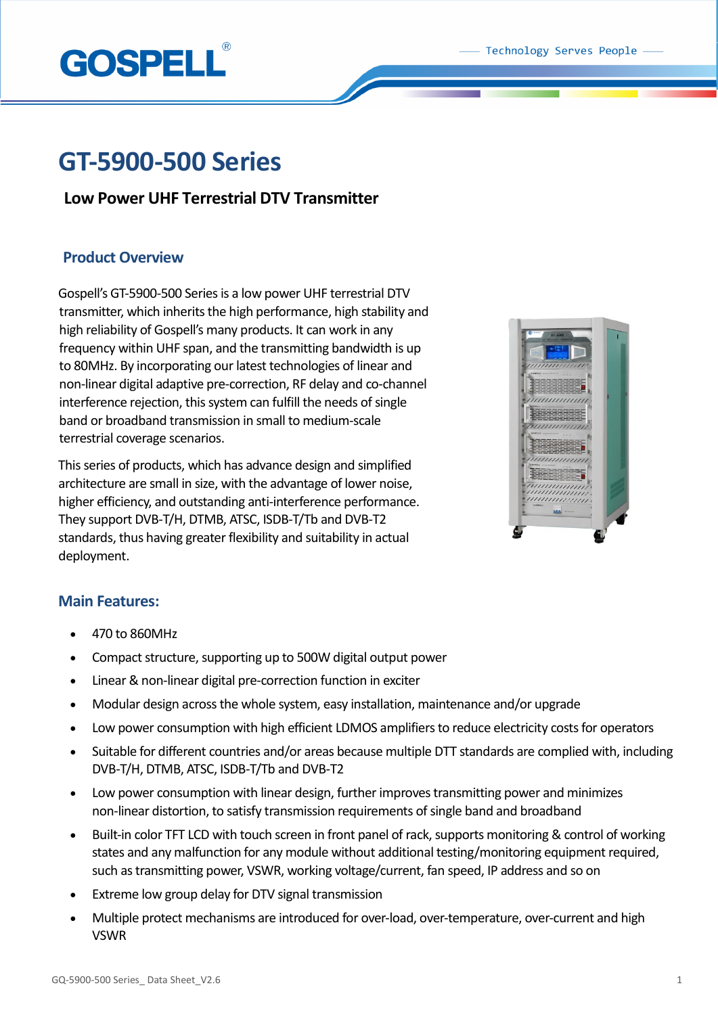

# **GT-5900-500 Series**

## **Low Power UHF Terrestrial DTV Transmitter**

## **Product Overview**

Gospell's GT-5900-500 Series is a low power UHF terrestrial DTV transmitter, which inherits the high performance, high stability and high reliability of Gospell's many products. It can work in any frequency within UHF span, and the transmitting bandwidth is up to 80MHz. By incorporating our latest technologies of linear and non-linear digital adaptive pre-correction, RF delay and co-channel interference rejection, this system can fulfill the needs of single band or broadband transmission in small to medium-scale terrestrial coverage scenarios.

This series of products, which has advance design and simplified architecture are small in size, with the advantage of lower noise, higher efficiency, and outstanding anti-interference performance. They support DVB-T/H, DTMB, ATSC, ISDB-T/Tb and DVB-T2 standards, thus having greater flexibility and suitability in actual deployment.



## **Main Features:**

- 470 to 860MHz
- Compact structure, supporting up to 500W digital output power
- Linear & non-linear digital pre-correction function in exciter
- Modular design across the whole system, easy installation, maintenance and/or upgrade
- Low power consumption with high efficient LDMOS amplifiers to reduce electricity costs for operators
- Suitable for different countries and/or areas because multiple DTT standards are complied with, including DVB-T/H, DTMB, ATSC, ISDB-T/Tb and DVB-T2
- Low power consumption with linear design, further improves transmitting power and minimizes non-linear distortion, to satisfy transmission requirements of single band and broadband
- Built-in color TFT LCD with touch screen in front panel of rack, supports monitoring & control of working states and any malfunction for any module without additional testing/monitoring equipment required, such as transmitting power, VSWR, working voltage/current, fan speed, IP address and so on
- Extreme low group delay for DTV signal transmission
- Multiple protect mechanisms are introduced for over-load, over-temperature, over-current and high VSWR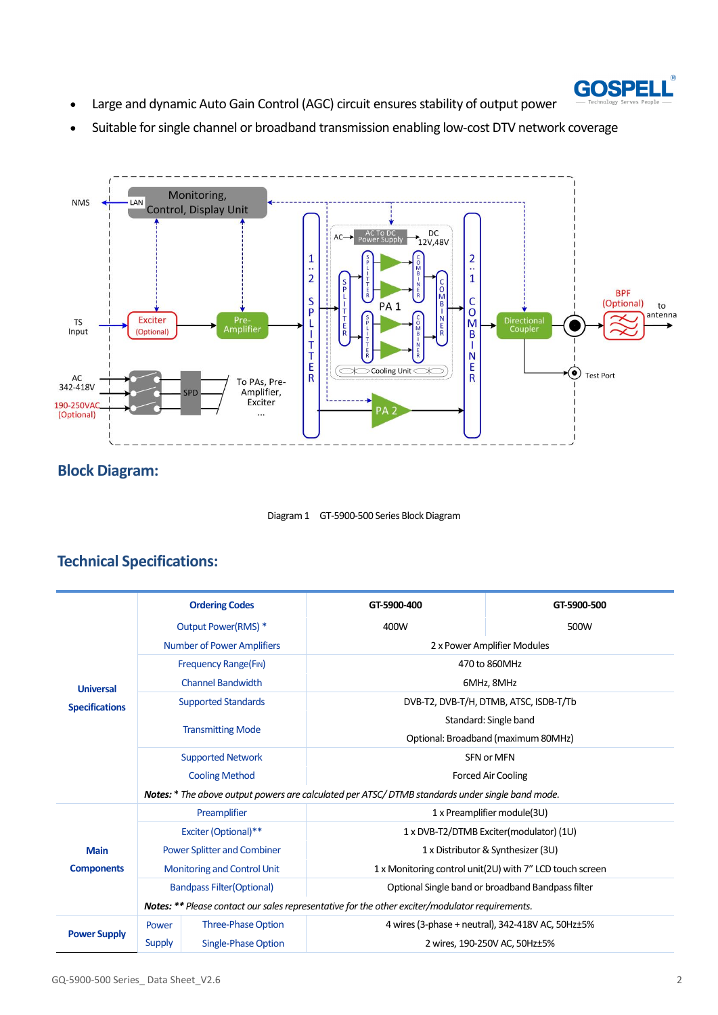

- Large and dynamic Auto Gain Control (AGC) circuit ensures stability of output power
- Suitable for single channel or broadband transmission enabling low-cost DTV network coverage



# **Block Diagram:**



# **Technical Specifications:**

|                                           | <b>Ordering Codes</b>                                                                           |                           | GT-5900-400                                              | GT-5900-500                                             |
|-------------------------------------------|-------------------------------------------------------------------------------------------------|---------------------------|----------------------------------------------------------|---------------------------------------------------------|
| <b>Universal</b><br><b>Specifications</b> | Output Power(RMS) *                                                                             |                           | 400W                                                     | 500W                                                    |
|                                           | <b>Number of Power Amplifiers</b>                                                               |                           | 2 x Power Amplifier Modules                              |                                                         |
|                                           | <b>Frequency Range(FIN)</b>                                                                     |                           | 470 to 860MHz                                            |                                                         |
|                                           | <b>Channel Bandwidth</b>                                                                        |                           | 6MHz, 8MHz                                               |                                                         |
|                                           | <b>Supported Standards</b>                                                                      |                           | DVB-T2, DVB-T/H, DTMB, ATSC, ISDB-T/Tb                   |                                                         |
|                                           | <b>Transmitting Mode</b>                                                                        |                           | Standard: Single band                                    |                                                         |
|                                           |                                                                                                 |                           | Optional: Broadband (maximum 80MHz)                      |                                                         |
|                                           | <b>Supported Network</b>                                                                        |                           | SFN or MFN                                               |                                                         |
|                                           | <b>Cooling Method</b>                                                                           |                           | <b>Forced Air Cooling</b>                                |                                                         |
|                                           | Notes: * The above output powers are calculated per ATSC/DTMB standards under single band mode. |                           |                                                          |                                                         |
| <b>Main</b><br><b>Components</b>          | Preamplifier                                                                                    |                           | 1 x Preamplifier module(3U)                              |                                                         |
|                                           | Exciter (Optional)**                                                                            |                           | 1 x DVB-T2/DTMB Exciter(modulator) (1U)                  |                                                         |
|                                           | <b>Power Splitter and Combiner</b>                                                              |                           | 1 x Distributor & Synthesizer (3U)                       |                                                         |
|                                           | Monitoring and Control Unit                                                                     |                           | 1 x Monitoring control unit(2U) with 7" LCD touch screen |                                                         |
|                                           | <b>Bandpass Filter (Optional)</b>                                                               |                           | Optional Single band or broadband Bandpass filter        |                                                         |
|                                           | Notes: ** Please contact our sales representative for the other exciter/modulator requirements. |                           |                                                          |                                                         |
| <b>Power Supply</b>                       | Power                                                                                           | <b>Three-Phase Option</b> |                                                          | 4 wires (3-phase + neutral), 342-418V AC, 50Hz $\pm$ 5% |
|                                           | Supply                                                                                          | Single-Phase Option       |                                                          | 2 wires, 190-250V AC, 50Hz±5%                           |